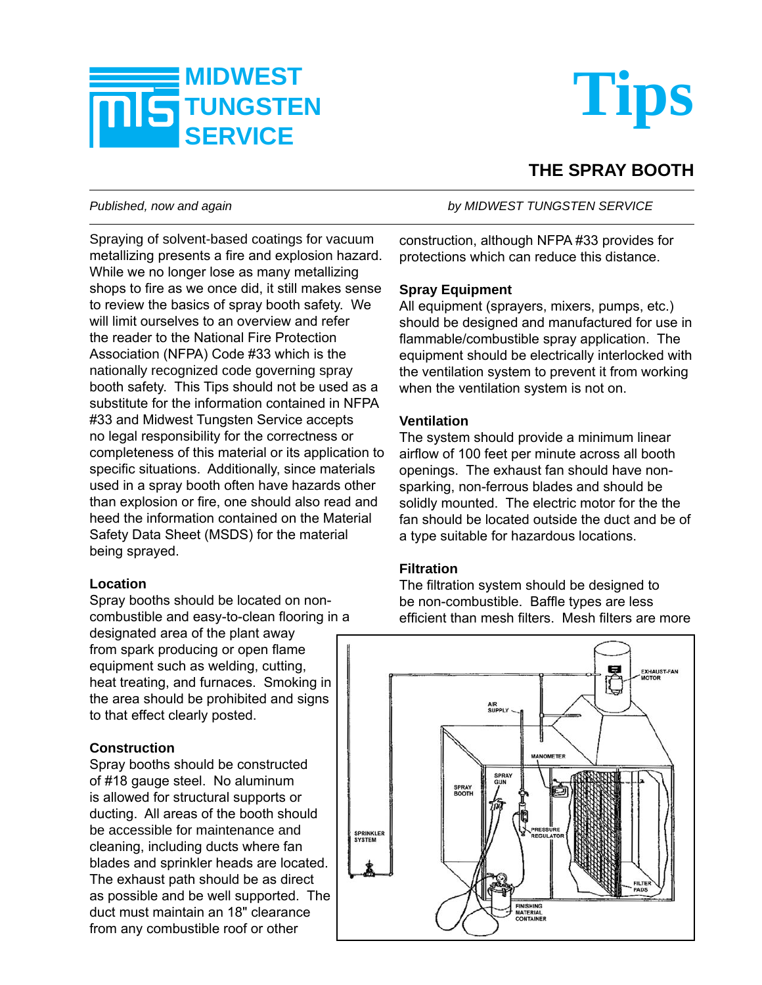



# **THE SPRAY BOOTH**

Spraying of solvent-based coatings for vacuum metallizing presents a fire and explosion hazard. While we no longer lose as many metallizing shops to fire as we once did, it still makes sense to review the basics of spray booth safety. We will limit ourselves to an overview and refer the reader to the National Fire Protection Association (NFPA) Code #33 which is the nationally recognized code governing spray booth safety. This Tips should not be used as a substitute for the information contained in NFPA #33 and Midwest Tungsten Service accepts no legal responsibility for the correctness or completeness of this material or its application to specific situations. Additionally, since materials used in a spray booth often have hazards other than explosion or fire, one should also read and heed the information contained on the Material Safety Data Sheet (MSDS) for the material being sprayed.

#### **Location**

Spray booths should be located on noncombustible and easy-to-clean flooring in a designated area of the plant away from spark producing or open flame equipment such as welding, cutting, heat treating, and furnaces. Smoking in the area should be prohibited and signs to that effect clearly posted.

# **Construction**

Spray booths should be constructed of #18 gauge steel. No aluminum is allowed for structural supports or ducting. All areas of the booth should be accessible for maintenance and cleaning, including ducts where fan blades and sprinkler heads are located. The exhaust path should be as direct as possible and be well supported. The duct must maintain an 18" clearance from any combustible roof or other

*Published, now and again by MIDWEST TUNGSTEN SERVICE*

construction, although NFPA #33 provides for protections which can reduce this distance.

### **Spray Equipment**

All equipment (sprayers, mixers, pumps, etc.) should be designed and manufactured for use in flammable/combustible spray application. The equipment should be electrically interlocked with the ventilation system to prevent it from working when the ventilation system is not on.

### **Ventilation**

The system should provide a minimum linear airflow of 100 feet per minute across all booth openings. The exhaust fan should have nonsparking, non-ferrous blades and should be solidly mounted. The electric motor for the the fan should be located outside the duct and be of a type suitable for hazardous locations.

#### **Filtration**

The filtration system should be designed to be non-combustible. Baffle types are less efficient than mesh filters. Mesh filters are more